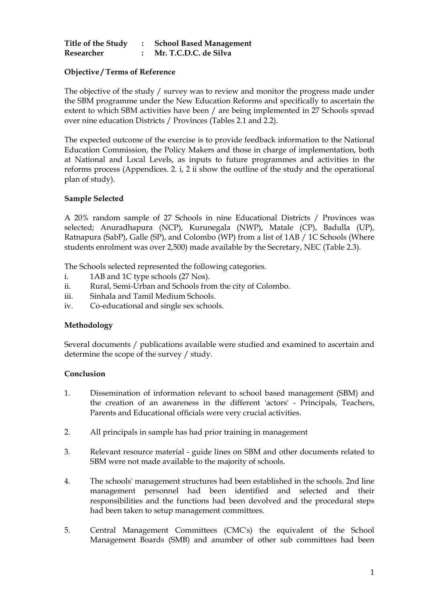| Title of the Study | <b>School Based Management</b> |
|--------------------|--------------------------------|
| Researcher         | Mr. T.C.D.C. de Silva          |

# **Objective / Terms of Reference**

The objective of the study / survey was to review and monitor the progress made under the SBM programme under the New Education Reforms and specifically to ascertain the extent to which SBM activities have been / are being implemented in 27 Schools spread over nine education Districts / Provinces (Tables 2.1 and 2.2).

The expected outcome of the exercise is to provide feedback information to the National Education Commission, the Policy Makers and those in charge of implementation, both at National and Local Levels, as inputs to future programmes and activities in the reforms process (Appendices. 2. i, 2 ii show the outline of the study and the operational plan of study).

# **Sample Selected**

A 20% random sample of 27 Schools in nine Educational Districts / Provinces was selected; Anuradhapura (NCP), Kurunegala (NWP), Matale (CP), Badulla (UP), Ratnapura (SabP), Galle (SP), and Colombo (WP) from a list of 1AB / 1C Schools (Where students enrolment was over 2,500) made available by the Secretary, NEC (Table 2.3).

The Schools selected represented the following categories.

- i. 1AB and 1C type schools (27 Nos).
- ii. Rural, Semi-Urban and Schools from the city of Colombo.
- iii. Sinhala and Tamil Medium Schools.
- iv. Co-educational and single sex schools.

### **Methodology**

Several documents / publications available were studied and examined to ascertain and determine the scope of the survey / study.

### **Conclusion**

- 1. Dissemination of information relevant to school based management (SBM) and the creation of an awareness in the different 'actors' - Principals, Teachers, Parents and Educational officials were very crucial activities.
- 2. All principals in sample has had prior training in management
- 3. Relevant resource material guide lines on SBM and other documents related to SBM were not made available to the majority of schools.
- 4. The schools' management structures had been established in the schools. 2nd line management personnel had been identified and selected and their responsibilities and the functions had been devolved and the procedural steps had been taken to setup management committees.
- 5. Central Management Committees (CMC's) the equivalent of the School Management Boards (SMB) and anumber of other sub committees had been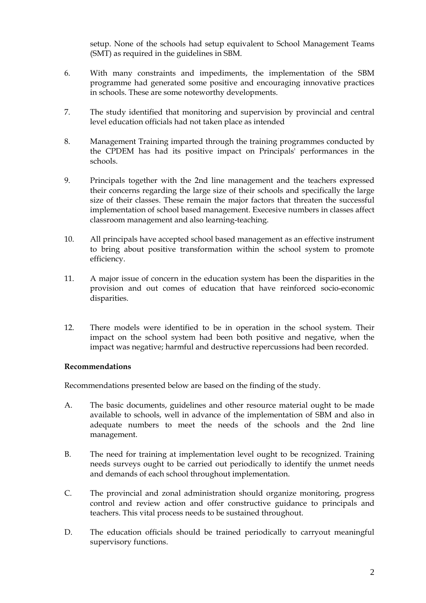setup. None of the schools had setup equivalent to School Management Teams (SMT) as required in the guidelines in SBM.

- 6. With many constraints and impediments, the implementation of the SBM programme had generated some positive and encouraging innovative practices in schools. These are some noteworthy developments.
- 7. The study identified that monitoring and supervision by provincial and central level education officials had not taken place as intended
- 8. Management Training imparted through the training programmes conducted by the CPDEM has had its positive impact on Principals' performances in the schools.
- 9. Principals together with the 2nd line management and the teachers expressed their concerns regarding the large size of their schools and specifically the large size of their classes. These remain the major factors that threaten the successful implementation of school based management. Execesive numbers in classes affect classroom management and also learning-teaching.
- 10. All principals have accepted school based management as an effective instrument to bring about positive transformation within the school system to promote efficiency.
- 11. A major issue of concern in the education system has been the disparities in the provision and out comes of education that have reinforced socio-economic disparities.
- 12. There models were identified to be in operation in the school system. Their impact on the school system had been both positive and negative, when the impact was negative; harmful and destructive repercussions had been recorded.

### **Recommendations**

Recommendations presented below are based on the finding of the study.

- A. The basic documents, guidelines and other resource material ought to be made available to schools, well in advance of the implementation of SBM and also in adequate numbers to meet the needs of the schools and the 2nd line management.
- B. The need for training at implementation level ought to be recognized. Training needs surveys ought to be carried out periodically to identify the unmet needs and demands of each school throughout implementation.
- C. The provincial and zonal administration should organize monitoring, progress control and review action and offer constructive guidance to principals and teachers. This vital process needs to be sustained throughout.
- D. The education officials should be trained periodically to carryout meaningful supervisory functions.